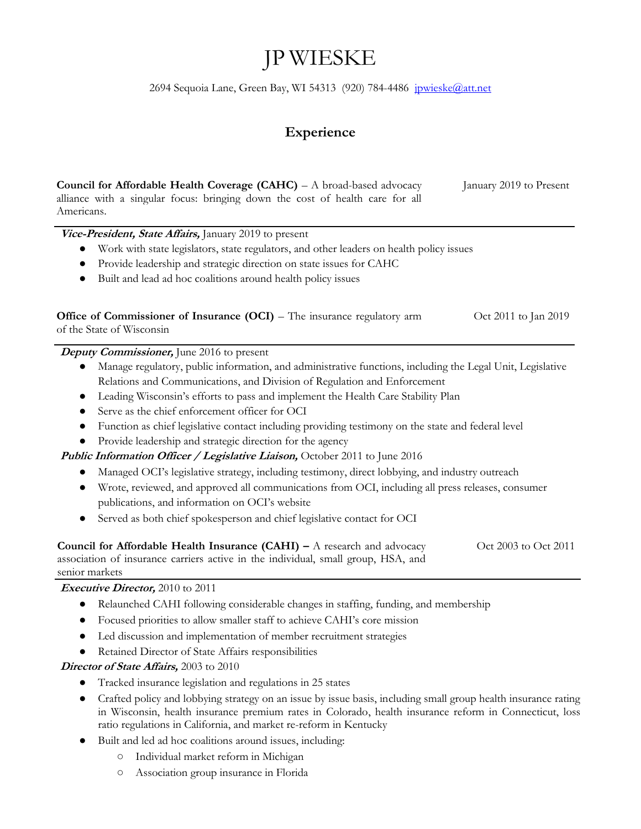# JP WIESKE

2694 Sequoia Lane, Green Bay, WI 54313 (920) 784-4486 [jpwieske@att.net](mailto:jpwieske@att.net)

## **Experience**

| Council for Affordable Health Coverage (CAHC) - A broad-based advocacy<br>alliance with a singular focus: bringing down the cost of health care for all<br>Americans.                                                        | January 2019 to Present |
|------------------------------------------------------------------------------------------------------------------------------------------------------------------------------------------------------------------------------|-------------------------|
| Vice-President, State Affairs, January 2019 to present                                                                                                                                                                       |                         |
| Work with state legislators, state regulators, and other leaders on health policy issues                                                                                                                                     |                         |
| Provide leadership and strategic direction on state issues for CAHC<br>$\bullet$                                                                                                                                             |                         |
| Built and lead ad hoc coalitions around health policy issues                                                                                                                                                                 |                         |
| Office of Commissioner of Insurance (OCI) – The insurance regulatory arm<br>of the State of Wisconsin                                                                                                                        | Oct 2011 to Jan 2019    |
| Deputy Commissioner, June 2016 to present                                                                                                                                                                                    |                         |
| Manage regulatory, public information, and administrative functions, including the Legal Unit, Legislative                                                                                                                   |                         |
| Relations and Communications, and Division of Regulation and Enforcement                                                                                                                                                     |                         |
| Leading Wisconsin's efforts to pass and implement the Health Care Stability Plan<br>$\bullet$                                                                                                                                |                         |
| Serve as the chief enforcement officer for OCI<br>$\bullet$                                                                                                                                                                  |                         |
| Function as chief legislative contact including providing testimony on the state and federal level<br>$\bullet$                                                                                                              |                         |
| Provide leadership and strategic direction for the agency<br>$\bullet$                                                                                                                                                       |                         |
| Public Information Officer / Legislative Liaison, October 2011 to June 2016                                                                                                                                                  |                         |
| Managed OCI's legislative strategy, including testimony, direct lobbying, and industry outreach<br>$\bullet$                                                                                                                 |                         |
| Wrote, reviewed, and approved all communications from OCI, including all press releases, consumer                                                                                                                            |                         |
| publications, and information on OCI's website                                                                                                                                                                               |                         |
| Served as both chief spokesperson and chief legislative contact for OCI                                                                                                                                                      |                         |
| Council for Affordable Health Insurance $(CAHI) - A$ research and advocacy<br>association of insurance carriers active in the individual, small group, HSA, and<br>senior markets<br><i>Executive Director, 2010 to 2011</i> | Oct 2003 to Oct 2011    |
|                                                                                                                                                                                                                              |                         |

- Relaunched CAHI following considerable changes in staffing, funding, and membership
- Focused priorities to allow smaller staff to achieve CAHI's core mission
- Led discussion and implementation of member recruitment strategies
- Retained Director of State Affairs responsibilities

#### **Director of State Affairs,** 2003 to 2010

- Tracked insurance legislation and regulations in 25 states
- Crafted policy and lobbying strategy on an issue by issue basis, including small group health insurance rating in Wisconsin, health insurance premium rates in Colorado, health insurance reform in Connecticut, loss ratio regulations in California, and market re-reform in Kentucky
- Built and led ad hoc coalitions around issues, including:
	- Individual market reform in Michigan
	- Association group insurance in Florida